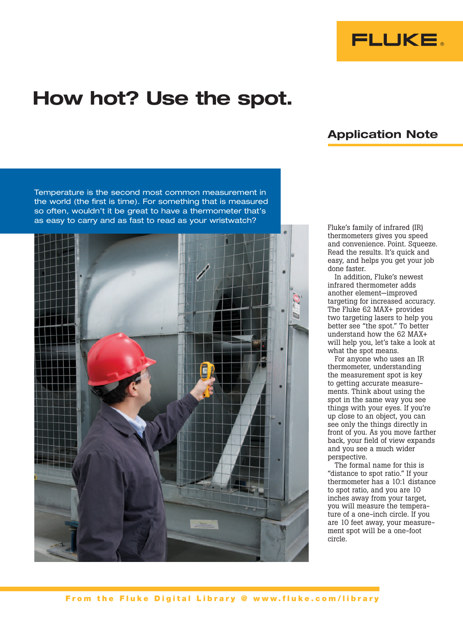

## How hot? Use the spot.

## Application Note

Temperature is the second most common measurement in the world (the first is time). For something that is measured so often, wouldn't it be great to have a thermometer that's as easy to carry and as fast to read as your wristwatch?



Fluke's family of infrared (IR) thermometers gives you speed and convenience. Point. Squeeze. Read the results. It's quick and easy, and helps you get your job done faster.

In addition, Fluke's newest infrared thermometer adds another element—improved targeting for increased accuracy. The Fluke 62 MAX+ provides two targeting lasers to help you better see "the spot." To better understand how the 62 MAX+ will help you, let's take a look at what the spot means.

For anyone who uses an IR thermometer, understanding the measurement spot is key to getting accurate measurements. Think about using the spot in the same way you see things with your eyes. If you're up close to an object, you can see only the things directly in front of you. As you move farther back, your field of view expands and you see a much wider perspective.

The formal name for this is "distance to spot ratio." If your thermometer has a 10:1 distance to spot ratio, and you are 10 inches away from your target, you will measure the temperature of a one-inch circle. If you are 10 feet away, your measurement spot will be a one-foot circle.